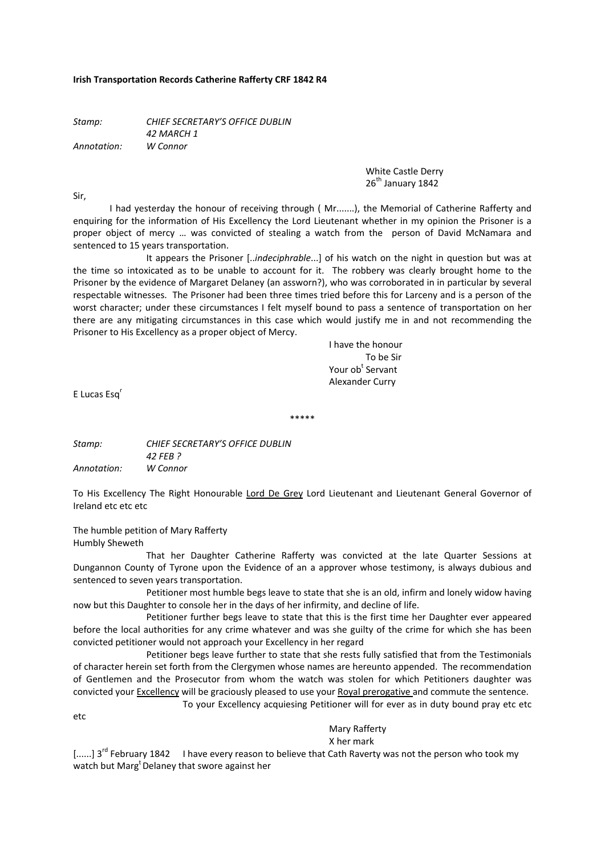#### **Irish Transportation Records Catherine Rafferty CRF 1842 R4**

*Stamp: CHIEF SECRETARY'S OFFICE DUBLIN 42 MARCH 1 Annotation: W Connor*

> White Castle Derry  $26^{th}$  January 1842

Sir,

I had yesterday the honour of receiving through ( Mr.......), the Memorial of Catherine Rafferty and enquiring for the information of His Excellency the Lord Lieutenant whether in my opinion the Prisoner is a proper object of mercy … was convicted of stealing a watch from the person of David McNamara and sentenced to 15 years transportation.

It appears the Prisoner [..*indeciphrable*...] of his watch on the night in question but was at the time so intoxicated as to be unable to account for it. The robbery was clearly brought home to the Prisoner by the evidence of Margaret Delaney (an assworn?), who was corroborated in in particular by several respectable witnesses. The Prisoner had been three times tried before this for Larceny and is a person of the worst character; under these circumstances I felt myself bound to pass a sentence of transportation on her there are any mitigating circumstances in this case which would justify me in and not recommending the Prisoner to His Excellency as a proper object of Mercy.

 I have the honour To be Sir **Example 2** Your ob<sup>t</sup> Servant Alexander Curry

E Lucas Esq<sup>r</sup>

*Stamp: CHIEF SECRETARY'S OFFICE DUBLIN 42 FEB ? Annotation: W Connor*

To His Excellency The Right Honourable Lord De Grey Lord Lieutenant and Lieutenant General Governor of Ireland etc etc etc

\*\*\*\*\*

The humble petition of Mary Rafferty Humbly Sheweth

 That her Daughter Catherine Rafferty was convicted at the late Quarter Sessions at Dungannon County of Tyrone upon the Evidence of an a approver whose testimony, is always dubious and sentenced to seven years transportation.

 Petitioner most humble begs leave to state that she is an old, infirm and lonely widow having now but this Daughter to console her in the days of her infirmity, and decline of life.

 Petitioner further begs leave to state that this is the first time her Daughter ever appeared before the local authorities for any crime whatever and was she guilty of the crime for which she has been convicted petitioner would not approach your Excellency in her regard

 Petitioner begs leave further to state that she rests fully satisfied that from the Testimonials of character herein set forth from the Clergymen whose names are hereunto appended. The recommendation of Gentlemen and the Prosecutor from whom the watch was stolen for which Petitioners daughter was convicted your Excellency will be graciously pleased to use your Royal prerogative and commute the sentence. To your Excellency acquiesing Petitioner will for ever as in duty bound pray etc etc

etc

Mary Rafferty

X her mark

 $[......]$  3<sup>rd</sup> February 1842 I have every reason to believe that Cath Raverty was not the person who took my watch but Marg<sup>t</sup> Delaney that swore against her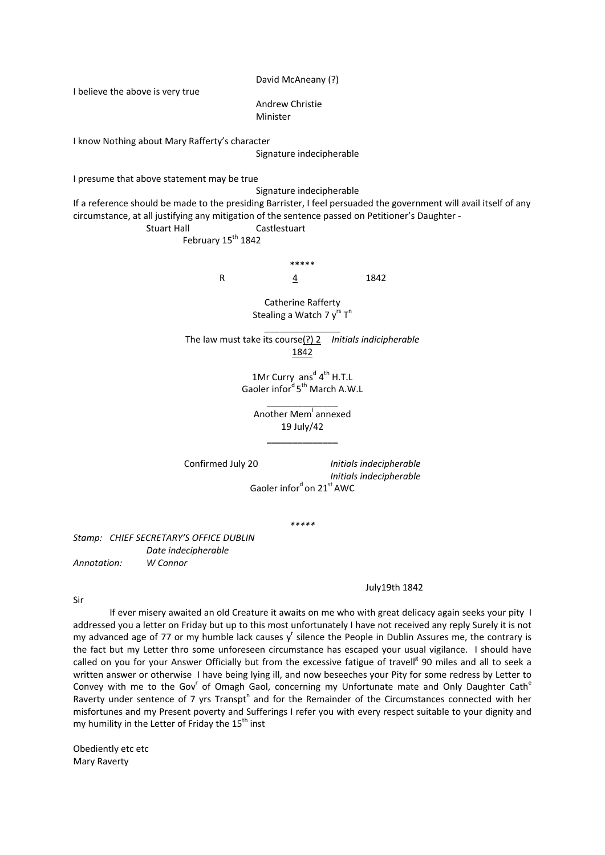David McAneany (?)

I believe the above is very true

 Andrew Christie Minister

I know Nothing about Mary Rafferty's character

Signature indecipherable

I presume that above statement may be true

Signature indecipherable

If a reference should be made to the presiding Barrister, I feel persuaded the government will avail itself of any circumstance, at all justifying any mitigation of the sentence passed on Petitioner's Daughter ‐

Stuart Hall **Castlestuart** 

February  $15^{th}$  1842

\*\*\*\*\* R 4 1842

> Catherine Rafferty Stealing a Watch 7 y<sup>rs</sup> T<sup>n</sup>

\_\_\_\_\_\_\_\_\_\_\_\_\_\_\_

The law must take its course(?) 2 *Initials indicipherable* 1842

> 1Mr Curry  $ans<sup>d</sup> 4<sup>th</sup> H.T.L$ Gaoler infor<sup>d</sup> 5<sup>th</sup> March A.W.L

\_\_\_\_\_\_\_\_\_\_\_\_\_\_ Another Mem<sup>l</sup> annexed 19 July/42 **\_\_\_\_\_\_\_\_\_\_\_\_\_\_**

Confirmed July 20 *Initials indecipherable Initials indecipherable* Gaoler infor<sup>d</sup> on 21<sup>st</sup> AWC

*\*\*\*\*\**

*Stamp: CHIEF SECRETARY'S OFFICE DUBLIN Date indecipherable Annotation: W Connor*

#### July19th 1842

Sir

If ever misery awaited an old Creature it awaits on me who with great delicacy again seeks your pity I addressed you a letter on Friday but up to this most unfortunately I have not received any reply Surely it is not my advanced age of 77 or my humble lack causes  $y^r$  silence the People in Dublin Assures me, the contrary is the fact but my Letter thro some unforeseen circumstance has escaped your usual vigilance. I should have called on you for your Answer Officially but from the excessive fatigue of travell<sup>g</sup> 90 miles and all to seek a written answer or otherwise I have being lying ill, and now beseeches your Pity for some redress by Letter to Convey with me to the Gov of Omagh Gaol, concerning my Unfortunate mate and Only Daughter Cath<sup>e</sup> Raverty under sentence of 7 yrs Transpt<sup>n</sup> and for the Remainder of the Circumstances connected with her misfortunes and my Present poverty and Sufferings I refer you with every respect suitable to your dignity and my humility in the Letter of Friday the  $15<sup>th</sup>$  inst

Obediently etc etc Mary Raverty